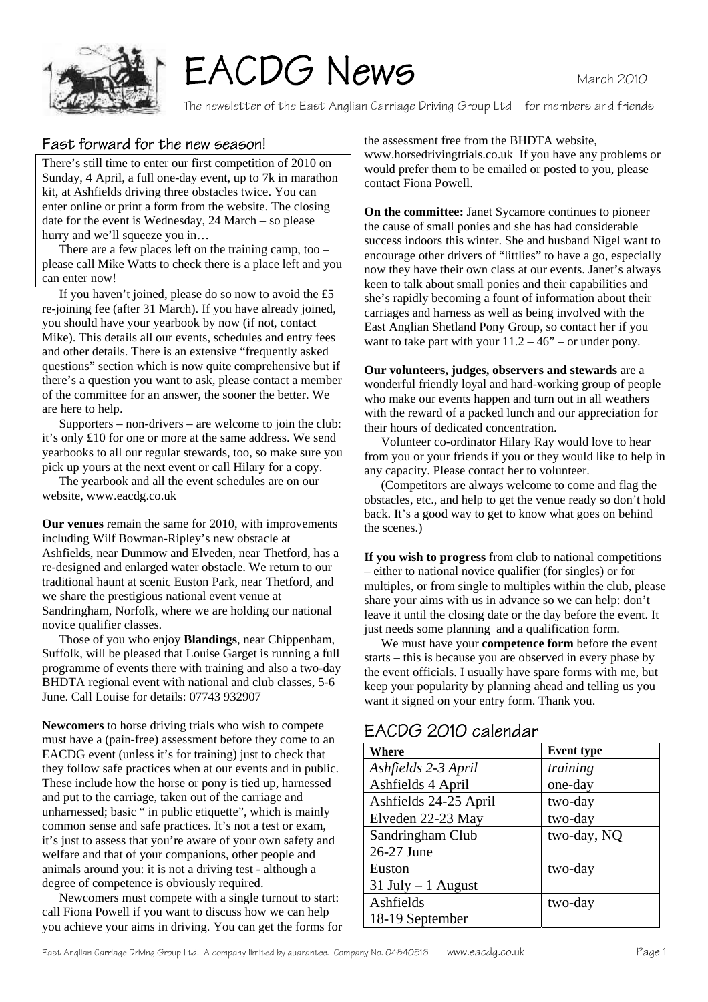

# EACDG News

The newsletter of the East Anglian Carriage Driving Group Ltd – for members and friends

## Fast forward for the new season!

There's still time to enter our first competition of 2010 on Sunday, 4 April, a full one-day event, up to 7k in marathon kit, at Ashfields driving three obstacles twice. You can enter online or print a form from the website. The closing date for the event is Wednesday, 24 March – so please hurry and we'll squeeze you in…

 There are a few places left on the training camp, too – please call Mike Watts to check there is a place left and you can enter now!

 If you haven't joined, please do so now to avoid the £5 re-joining fee (after 31 March). If you have already joined, you should have your yearbook by now (if not, contact Mike). This details all our events, schedules and entry fees and other details. There is an extensive "frequently asked questions" section which is now quite comprehensive but if there's a question you want to ask, please contact a member of the committee for an answer, the sooner the better. We are here to help.

 Supporters – non-drivers – are welcome to join the club: it's only £10 for one or more at the same address. We send yearbooks to all our regular stewards, too, so make sure you pick up yours at the next event or call Hilary for a copy.

 The yearbook and all the event schedules are on our website, www.eacdg.co.uk

**Our venues** remain the same for 2010, with improvements including Wilf Bowman-Ripley's new obstacle at Ashfields, near Dunmow and Elveden, near Thetford, has a re-designed and enlarged water obstacle. We return to our traditional haunt at scenic Euston Park, near Thetford, and we share the prestigious national event venue at Sandringham, Norfolk, where we are holding our national novice qualifier classes.

 Those of you who enjoy **Blandings**, near Chippenham, Suffolk, will be pleased that Louise Garget is running a full programme of events there with training and also a two-day BHDTA regional event with national and club classes, 5-6 June. Call Louise for details: 07743 932907

**Newcomers** to horse driving trials who wish to compete must have a (pain-free) assessment before they come to an EACDG event (unless it's for training) just to check that they follow safe practices when at our events and in public. These include how the horse or pony is tied up, harnessed and put to the carriage, taken out of the carriage and unharnessed; basic " in public etiquette", which is mainly common sense and safe practices. It's not a test or exam, it's just to assess that you're aware of your own safety and welfare and that of your companions, other people and animals around you: it is not a driving test - although a degree of competence is obviously required.

 Newcomers must compete with a single turnout to start: call Fiona Powell if you want to discuss how we can help you achieve your aims in driving. You can get the forms for the assessment free from the BHDTA website, www.horsedrivingtrials.co.uk If you have any problems or would prefer them to be emailed or posted to you, please contact Fiona Powell.

**On the committee:** Janet Sycamore continues to pioneer the cause of small ponies and she has had considerable success indoors this winter. She and husband Nigel want to encourage other drivers of "littlies" to have a go, especially now they have their own class at our events. Janet's always keen to talk about small ponies and their capabilities and she's rapidly becoming a fount of information about their carriages and harness as well as being involved with the East Anglian Shetland Pony Group, so contact her if you want to take part with your  $11.2 - 46$ " – or under pony.

**Our volunteers, judges, observers and stewards** are a wonderful friendly loyal and hard-working group of people who make our events happen and turn out in all weathers with the reward of a packed lunch and our appreciation for their hours of dedicated concentration.

 Volunteer co-ordinator Hilary Ray would love to hear from you or your friends if you or they would like to help in any capacity. Please contact her to volunteer.

 (Competitors are always welcome to come and flag the obstacles, etc., and help to get the venue ready so don't hold back. It's a good way to get to know what goes on behind the scenes.)

**If you wish to progress** from club to national competitions – either to national novice qualifier (for singles) or for multiples, or from single to multiples within the club, please share your aims with us in advance so we can help: don't leave it until the closing date or the day before the event. It just needs some planning and a qualification form.

 We must have your **competence form** before the event starts – this is because you are observed in every phase by the event officials. I usually have spare forms with me, but keep your popularity by planning ahead and telling us you want it signed on your entry form. Thank you.

# EACDG 2010 calendar

| Where                 | <b>Event type</b> |
|-----------------------|-------------------|
| Ashfields 2-3 April   | training          |
| Ashfields 4 April     | one-day           |
| Ashfields 24-25 April | two-day           |
| Elveden 22-23 May     | two-day           |
| Sandringham Club      | two-day, NQ       |
| 26-27 June            |                   |
| Euston                | two-day           |
| $31$ July $-1$ August |                   |
| Ashfields             | two-day           |
| 18-19 September       |                   |